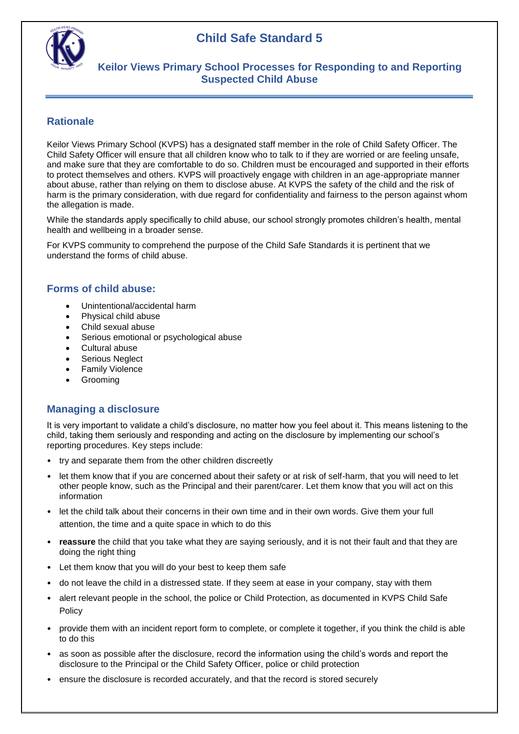

## **Keilor Views Primary School Processes for Responding to and Reporting Suspected Child Abuse**

### **Rationale**

Keilor Views Primary School (KVPS) has a designated staff member in the role of Child Safety Officer. The Child Safety Officer will ensure that all children know who to talk to if they are worried or are feeling unsafe, and make sure that they are comfortable to do so. Children must be encouraged and supported in their efforts to protect themselves and others. KVPS will proactively engage with children in an age-appropriate manner about abuse, rather than relying on them to disclose abuse. At KVPS the safety of the child and the risk of harm is the primary consideration, with due regard for confidentiality and fairness to the person against whom the allegation is made.

While the standards apply specifically to child abuse, our school strongly promotes children's health, mental health and wellbeing in a broader sense.

For KVPS community to comprehend the purpose of the Child Safe Standards it is pertinent that we understand the forms of child abuse.

### **Forms of child abuse:**

- Unintentional/accidental harm
- Physical child abuse
- Child sexual abuse
- Serious emotional or psychological abuse
- Cultural abuse
- Serious Neglect
- Family Violence
- Grooming

### **Managing a disclosure**

It is very important to validate a child's disclosure, no matter how you feel about it. This means listening to the child, taking them seriously and responding and acting on the disclosure by implementing our school's reporting procedures. Key steps include:

- try and separate them from the other children discreetly
- let them know that if you are concerned about their safety or at risk of self-harm, that you will need to let other people know, such as the Principal and their parent/carer. Let them know that you will act on this information
- let the child talk about their concerns in their own time and in their own words. Give them your full attention, the time and a quite space in which to do this
- **reassure** the child that you take what they are saying seriously, and it is not their fault and that they are doing the right thing
- Let them know that you will do your best to keep them safe
- do not leave the child in a distressed state. If they seem at ease in your company, stay with them
- alert relevant people in the school, the police or Child Protection, as documented in KVPS Child Safe **Policy**
- provide them with an incident report form to complete, or complete it together, if you think the child is able to do this
- as soon as possible after the disclosure, record the information using the child's words and report the disclosure to the Principal or the Child Safety Officer, police or child protection
- ensure the disclosure is recorded accurately, and that the record is stored securely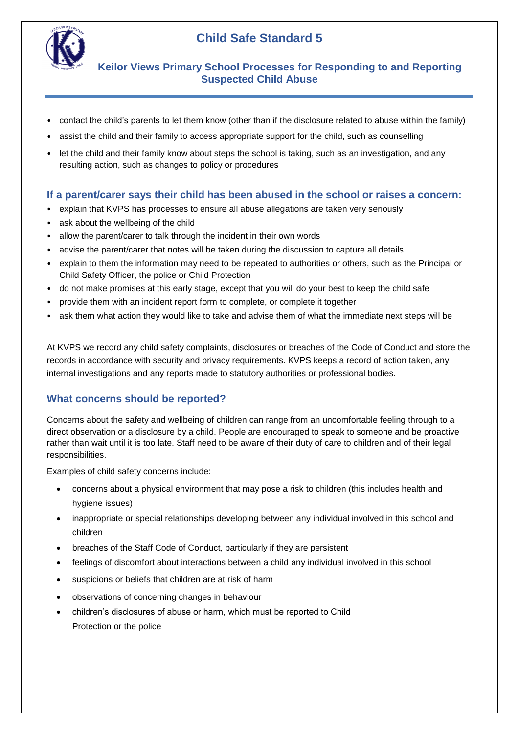

 **Keilor Views Primary School Processes for Responding to and Reporting Suspected Child Abuse**

- contact the child's parents to let them know (other than if the disclosure related to abuse within the family)
- assist the child and their family to access appropriate support for the child, such as counselling
- let the child and their family know about steps the school is taking, such as an investigation, and any resulting action, such as changes to policy or procedures

#### **If a parent/carer says their child has been abused in the school or raises a concern:**

- explain that KVPS has processes to ensure all abuse allegations are taken very seriously
- ask about the wellbeing of the child
- allow the parent/carer to talk through the incident in their own words
- advise the parent/carer that notes will be taken during the discussion to capture all details
- explain to them the information may need to be repeated to authorities or others, such as the Principal or Child Safety Officer, the police or Child Protection
- do not make promises at this early stage, except that you will do your best to keep the child safe
- provide them with an incident report form to complete, or complete it together
- ask them what action they would like to take and advise them of what the immediate next steps will be

At KVPS we record any child safety complaints, disclosures or breaches of the Code of Conduct and store the records in accordance with security and privacy requirements. KVPS keeps a record of action taken, any internal investigations and any reports made to statutory authorities or professional bodies.

#### **What concerns should be reported?**

Concerns about the safety and wellbeing of children can range from an uncomfortable feeling through to a direct observation or a disclosure by a child. People are encouraged to speak to someone and be proactive rather than wait until it is too late. Staff need to be aware of their duty of care to children and of their legal responsibilities.

Examples of child safety concerns include:

- concerns about a physical environment that may pose a risk to children (this includes health and hygiene issues)
- inappropriate or special relationships developing between any individual involved in this school and children
- breaches of the Staff Code of Conduct, particularly if they are persistent
- feelings of discomfort about interactions between a child any individual involved in this school
- suspicions or beliefs that children are at risk of harm
- observations of concerning changes in behaviour
- children's disclosures of abuse or harm, which must be reported to Child Protection or the police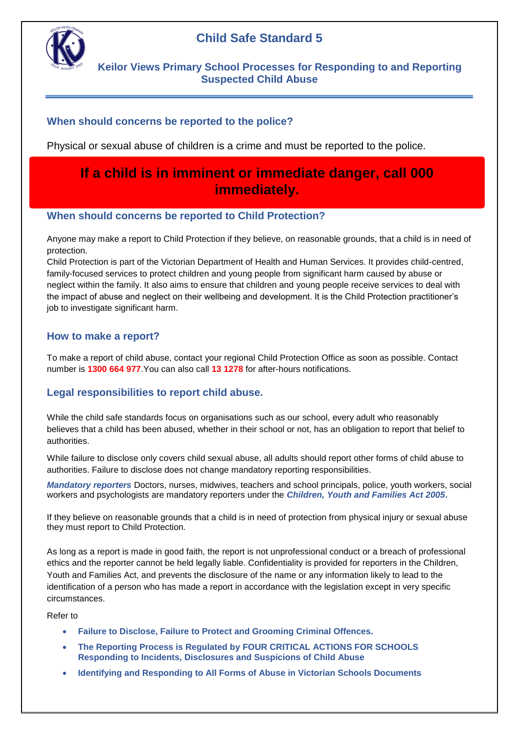

# **Keilor Views Primary School Processes for Responding to and Reporting Suspected Child Abuse**

# **When should concerns be reported to the police?**

Physical or sexual abuse of children is a crime and must be reported to the police.

# **If a child is in imminent or immediate danger, call 000 immediately.**

### **When should concerns be reported to Child Protection?**

Anyone may make a report to Child Protection if they believe, on reasonable grounds, that a child is in need of protection.

Child Protection is part of the Victorian Department of Health and Human Services. It provides child-centred, family-focused services to protect children and young people from significant harm caused by abuse or neglect within the family. It also aims to ensure that children and young people receive services to deal with the impact of abuse and neglect on their wellbeing and development. It is the Child Protection practitioner's job to investigate significant harm.

### **How to make a report?**

To make a report of child abuse, contact your regional Child Protection Office as soon as possible. Contact number is **1300 664 977**.You can also call **13 1278** for after-hours notifications.

### **Legal responsibilities to report child abuse.**

While the child safe standards focus on organisations such as our school, every adult who reasonably believes that a child has been abused, whether in their school or not, has an obligation to report that belief to authorities.

While failure to disclose only covers child sexual abuse, all adults should report other forms of child abuse to authorities. Failure to disclose does not change mandatory reporting responsibilities.

*Mandatory reporters* Doctors, nurses, midwives, teachers and school principals, police, youth workers, social workers and psychologists are mandatory reporters under the *Children, Youth and Families Act 2005***.** 

If they believe on reasonable grounds that a child is in need of protection from physical injury or sexual abuse they must report to Child Protection.

As long as a report is made in good faith, the report is not unprofessional conduct or a breach of professional ethics and the reporter cannot be held legally liable. Confidentiality is provided for reporters in the Children, Youth and Families Act, and prevents the disclosure of the name or any information likely to lead to the identification of a person who has made a report in accordance with the legislation except in very specific circumstances.

Refer to

- **Failure to Disclose, Failure to Protect and Grooming Criminal Offences.**
- **The Reporting Process is Regulated by FOUR CRITICAL ACTIONS FOR SCHOOLS Responding to Incidents, Disclosures and Suspicions of Child Abuse**
- **Identifying and Responding to All Forms of Abuse in Victorian Schools Documents**